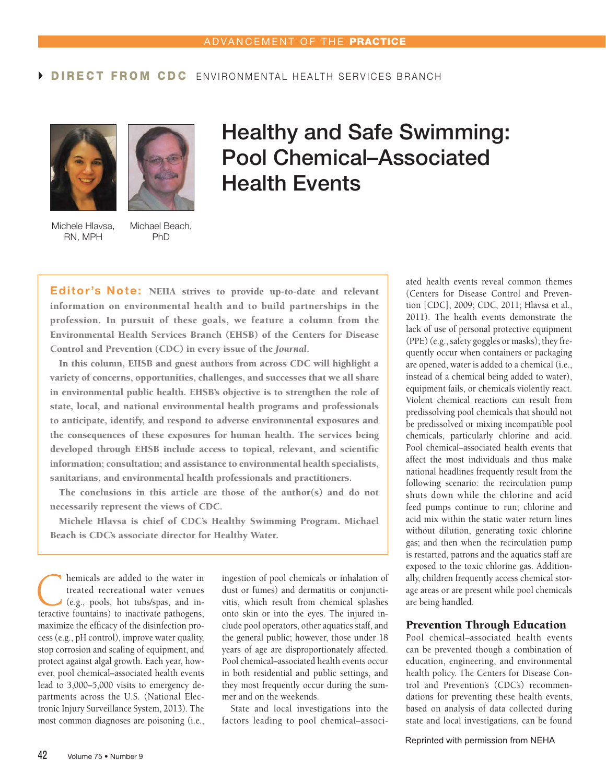# **DIRECT FROM CDC** FNVIRONMENTAL HEALTH SERVICES BRANCH





### Michele Hlavsa, Michael Beach, RN, MPH
BND
PhD
<sub>RN</sub>

# **Healthy and Safe Swimming: Pool Chemical–Associated Health Events**

**Editor's Note:** NEHA strives to provide up-to-date and relevant information on environmental health and to build partnerships in the profession. In pursuit of these goals, we feature a column from the Environmental Health Services Branch (EHSB) of the Centers for Disease Control and Prevention (CDC) in every issue of the *Journal*.

In this column, EHSB and guest authors from across CDC will highlight a variety of concerns, opportunities, challenges, and successes that we all share in environmental public health. EHSB's objective is to strengthen the role of state, local, and national environmental health programs and professionals to anticipate, identify, and respond to adverse environmental exposures and the consequences of these exposures for human health. The services being developed through EHSB include access to topical, relevant, and scientific information; consultation; and assistance to environmental health specialists, sanitarians, and environmental health professionals and practitioners.

The conclusions in this article are those of the author(s) and do not necessarily represent the views of CDC.

Michele Hlavsa is chief of CDC's Healthy Swimming Program. Michael Beach is CDC's associate director for Healthy Water.

**C** hemicals are added to the water in treated recreational water venues (e.g., pools, hot tubs/spas, and interactive fountains) to inactivate pathogens treated recreational water venues (e.g., pools, hot tubs/spas, and interactive fountains) to inactivate pathogens, maximize the efficacy of the disinfection process (e.g., pH control), improve water quality, stop corrosion and scaling of equipment, and protect against algal growth. Each year, however, pool chemical–associated health events lead to 3,000–5,000 visits to emergency departments across the U.S. (National Electronic Injury Surveillance System, 2013). The most common diagnoses are poisoning (i.e.,

ingestion of pool chemicals or inhalation of dust or fumes) and dermatitis or conjunctivitis, which result from chemical splashes onto skin or into the eyes. The injured include pool operators, other aquatics staff, and the general public; however, those under 18 years of age are disproportionately affected. Pool chemical–associated health events occur in both residential and public settings, and they most frequently occur during the summer and on the weekends.

State and local investigations into the factors leading to pool chemical–associated health events reveal common themes (Centers for Disease Control and Prevention [CDC], 2009; CDC, 2011; Hlavsa et al., 2011). The health events demonstrate the lack of use of personal protective equipment (PPE) (e.g., safety goggles or masks); they frequently occur when containers or packaging are opened, water is added to a chemical (i.e., instead of a chemical being added to water), equipment fails, or chemicals violently react. Violent chemical reactions can result from predissolving pool chemicals that should not be predissolved or mixing incompatible pool chemicals, particularly chlorine and acid. Pool chemical–associated health events that affect the most individuals and thus make national headlines frequently result from the following scenario: the recirculation pump shuts down while the chlorine and acid feed pumps continue to run; chlorine and acid mix within the static water return lines without dilution, generating toxic chlorine gas; and then when the recirculation pump is restarted, patrons and the aquatics staff are exposed to the toxic chlorine gas. Additionally, children frequently access chemical storage areas or are present while pool chemicals are being handled.

### Prevention Through Education

Pool chemical–associated health events can be prevented though a combination of education, engineering, and environmental health policy. The Centers for Disease Control and Prevention's (CDC's) recommendations for preventing these health events, based on analysis of data collected during state and local investigations, can be found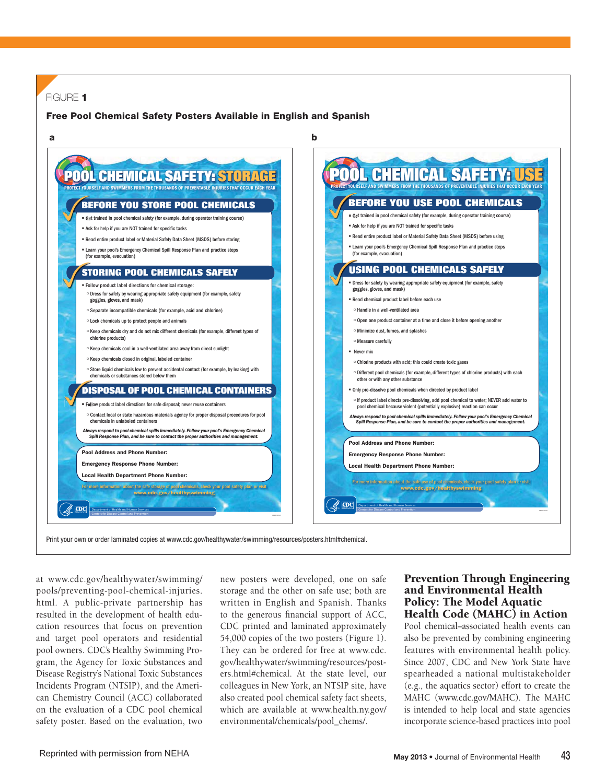# FIGURE **1**

### **Free Pool Chemical Safety Posters Available in English and Spanish**



Print your own or order laminated copies at www.cdc.gov/healthywater/swimming/resources/posters.html#chemical.

at www.cdc.gov/healthywater/swimming/ pools/preventing-pool-chemical-injuries. html. A public-private partnership has resulted in the development of health education resources that focus on prevention and target pool operators and residential pool owners. CDC's Healthy Swimming Program, the Agency for Toxic Substances and Disease Registry's National Toxic Substances Incidents Program (NTSIP), and the American Chemistry Council (ACC) collaborated on the evaluation of a CDC pool chemical safety poster. Based on the evaluation, two

new posters were developed, one on safe storage and the other on safe use; both are written in English and Spanish. Thanks to the generous financial support of ACC, CDC printed and laminated approximately 54,000 copies of the two posters (Figure 1). They can be ordered for free at www.cdc. gov/healthywater/swimming/resources/posters.html#chemical. At the state level, our colleagues in New York, an NTSIP site, have also created pool chemical safety fact sheets, which are available at www.health.ny.gov/ environmental/chemicals/pool\_chems/.

### Prevention Through Engineering and Environmental Health Policy: The Model Aquatic Health Code (MAHC) in Action

Pool chemical–associated health events can also be prevented by combining engineering features with environmental health policy. Since 2007, CDC and New York State have spearheaded a national multistakeholder (e.g., the aquatics sector) effort to create the MAHC (www.cdc.gov/MAHC). The MAHC is intended to help local and state agencies incorporate science-based practices into pool